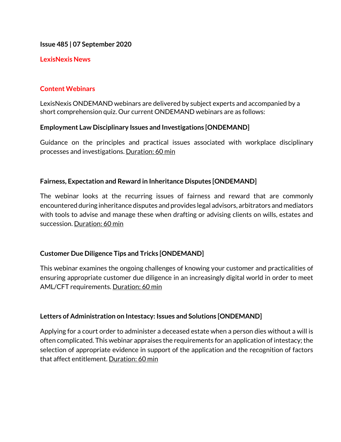**Issue 485 | 07 September 2020**

### **LexisNexis News**

## **Content Webinars**

LexisNexis ONDEMAND webinars are delivered by subject experts and accompanied by a short comprehension quiz. Our current ONDEMAND webinars are as follows:

### **Employment Law Disciplinary Issues and Investigations [ONDEMAND]**

Guidance on the principles and practical issues associated with workplace disciplinary processes and investigations. Duration: 60 min

### **Fairness, Expectation and Reward in Inheritance Disputes [ONDEMAND]**

The webinar looks at the recurring issues of fairness and reward that are commonly encountered during inheritance disputes and provides legal advisors, arbitrators and mediators with tools to advise and manage these when drafting or advising clients on wills, estates and succession. Duration: 60 min

### **Customer Due Diligence Tips and Tricks [ONDEMAND]**

This webinar examines the ongoing challenges of knowing your customer and practicalities of ensuring appropriate customer due diligence in an increasingly digital world in order to meet AML/CFT requirements. Duration: 60 min

### **Letters of Administration on Intestacy: Issues and Solutions [ONDEMAND]**

Applying for a court order to administer a deceased estate when a person dies without a will is often complicated. This webinar appraises the requirements for an application of intestacy; the selection of appropriate evidence in support of the application and the recognition of factors that affect entitlement. Duration: 60 min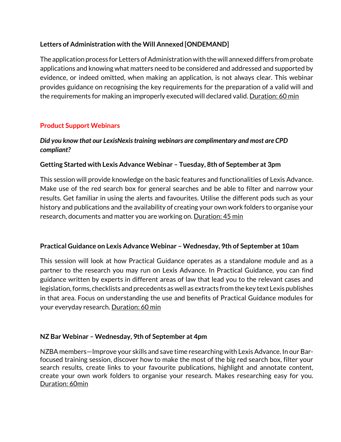# **Letters of Administration with the Will Annexed [ONDEMAND]**

The application process for Letters of Administration with the will annexed differs from probate applications and knowing what matters need to be considered and addressed and supported by evidence, or indeed omitted, when making an application, is not always clear. This webinar provides guidance on recognising the key requirements for the preparation of a valid will and the requirements for making an improperly executed will declared valid. Duration: 60 min

# **Product Support Webinars**

# *Did you know that our LexisNexis training webinars are complimentary and most are CPD compliant?*

# **Getting Started with Lexis Advance Webinar – Tuesday, 8th of September at 3pm**

This session will provide knowledge on the basic features and functionalities of Lexis Advance. Make use of the red search box for general searches and be able to filter and narrow your results. Get familiar in using the alerts and favourites. Utilise the different pods such as your history and publications and the availability of creating your own work folders to organise your research, documents and matter you are working on. Duration: 45 min

### **Practical Guidance on Lexis Advance Webinar – Wednesday, 9th of September at 10am**

This session will look at how Practical Guidance operates as a standalone module and as a partner to the research you may run on Lexis Advance. In Practical Guidance, you can find guidance written by experts in different areas of law that lead you to the relevant cases and legislation, forms, checklists and precedents as well as extracts from the key text Lexis publishes in that area. Focus on understanding the use and benefits of Practical Guidance modules for your everyday research. Duration: 60 min

### **NZ Bar Webinar – Wednesday, 9th of September at 4pm**

NZBA members—Improve your skills and save time researching with Lexis Advance. In our Barfocused training session, discover how to make the most of the big red search box, filter your search results, create links to your favourite publications, highlight and annotate content, create your own work folders to organise your research. Makes researching easy for you. Duration: 60min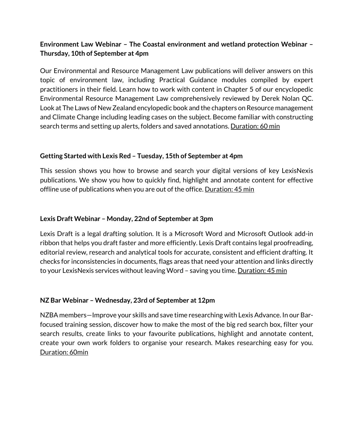# **Environment Law Webinar – The Coastal environment and wetland protection Webinar – Thursday, 10th of September at 4pm**

Our Environmental and Resource Management Law publications will deliver answers on this topic of environment law, including Practical Guidance modules compiled by expert practitioners in their field. Learn how to work with content in Chapter 5 of our encyclopedic Environmental Resource Management Law comprehensively reviewed by Derek Nolan QC. Look at The Laws of New Zealand encylopedic book and the chapters on Resource management and Climate Change including leading cases on the subject. Become familiar with constructing search terms and setting up alerts, folders and saved annotations. Duration: 60 min

# **Getting Started with Lexis Red – Tuesday, 15th of September at 4pm**

This session shows you how to browse and search your digital versions of key LexisNexis publications. We show you how to quickly find, highlight and annotate content for effective offline use of publications when you are out of the office. Duration: 45 min

## **Lexis Draft Webinar – Monday, 22nd of September at 3pm**

Lexis Draft is a legal drafting solution. It is a Microsoft Word and Microsoft Outlook add-in ribbon that helps you draft faster and more efficiently. Lexis Draft contains legal proofreading, editorial review, research and analytical tools for accurate, consistent and efficient drafting. It checks for inconsistencies in documents, flags areas that need your attention and links directly to your LexisNexis services without leaving Word - saving you time. Duration: 45 min

### **NZ Bar Webinar – Wednesday, 23rd of September at 12pm**

NZBA members—Improve your skills and save time researching with Lexis Advance. In our Barfocused training session, discover how to make the most of the big red search box, filter your search results, create links to your favourite publications, highlight and annotate content, create your own work folders to organise your research. Makes researching easy for you. Duration: 60min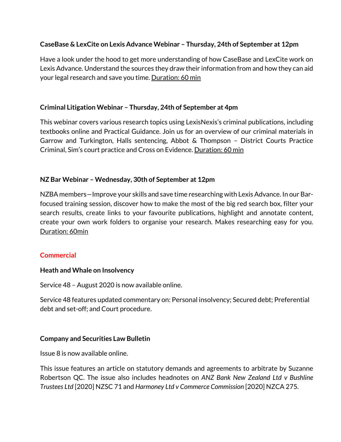## **CaseBase & LexCite on Lexis Advance Webinar – Thursday, 24th of September at 12pm**

Have a look under the hood to get more understanding of how CaseBase and LexCite work on Lexis Advance. Understand the sources they draw their information from and how they can aid your legal research and save you time. Duration: 60 min

# **Criminal Litigation Webinar – Thursday, 24th of September at 4pm**

This webinar covers various research topics using LexisNexis's criminal publications, including textbooks online and Practical Guidance. Join us for an overview of our criminal materials in Garrow and Turkington, Halls sentencing, Abbot & Thompson – District Courts Practice Criminal, Sim's court practice and Cross on Evidence. Duration: 60 min

# **NZ Bar Webinar – Wednesday, 30th of September at 12pm**

NZBA members—Improve your skills and save time researching with Lexis Advance. In our Barfocused training session, discover how to make the most of the big red search box, filter your search results, create links to your favourite publications, highlight and annotate content, create your own work folders to organise your research. Makes researching easy for you. Duration: 60min

### **Commercial**

### **Heath and Whale on Insolvency**

Service 48 – August 2020 is now available online.

Service 48 features updated commentary on: Personal insolvency; Secured debt; Preferential debt and set-off; and Court procedure.

### **Company and Securities Law Bulletin**

Issue 8 is now available online.

This issue features an article on statutory demands and agreements to arbitrate by Suzanne Robertson QC. The issue also includes headnotes on *ANZ Bank New Zealand Ltd v Bushline Trustees Ltd* [2020] NZSC 71 and *Harmoney Ltd v Commerce Commission* [2020] NZCA 275.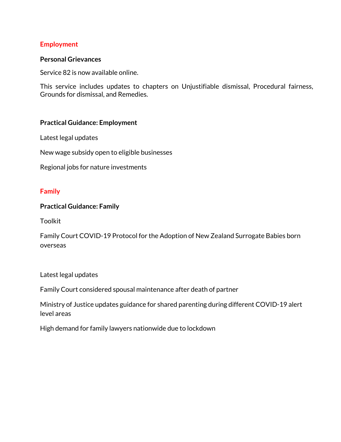### **Employment**

#### **Personal Grievances**

Service 82 is now available online.

This service includes updates to chapters on Unjustifiable dismissal, Procedural fairness, Grounds for dismissal, and Remedies.

### **Practical Guidance: Employment**

Latest legal updates

New wage subsidy open to eligible businesses

Regional jobs for nature investments

#### **Family**

#### **Practical Guidance: Family**

Toolkit

Family Court COVID-19 Protocol for the Adoption of New Zealand Surrogate Babies born overseas

Latest legal updates

Family Court considered spousal maintenance after death of partner

Ministry of Justice updates guidance for shared parenting during different COVID-19 alert level areas

High demand for family lawyers nationwide due to lockdown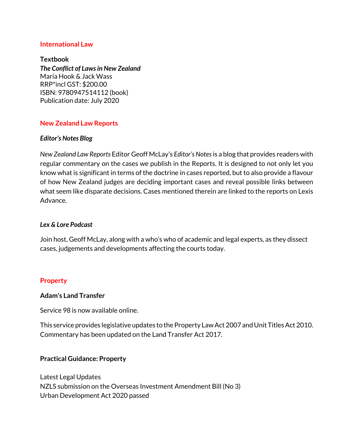### **International Law**

### **Textbook**

*The Conflict of Laws in New Zealand* Maria Hook & Jack Wass RRP\*incl GST: \$200.00 ISBN: 9780947514112 (book) Publication date: July 2020

### **New Zealand Law Reports**

### *Editor's Notes Blog*

*New Zealand Law Reports* Editor Geoff McLay's *Editor's Notes*is a blog that provides readers with regular commentary on the cases we publish in the Reports. It is designed to not only let you know what is significant in terms of the doctrine in cases reported, but to also provide a flavour of how New Zealand judges are deciding important cases and reveal possible links between what seem like disparate decisions. Cases mentioned therein are linked to the reports on Lexis Advance.

### *Lex & Lore Podcast*

Join host, Geoff McLay, along with a who's who of academic and legal experts, as they dissect cases, judgements and developments affecting the courts today.

### **Property**

### **Adam's Land Transfer**

Service 98 is now available online.

This service provides legislative updates to the Property Law Act 2007 and Unit Titles Act 2010. Commentary has been updated on the Land Transfer Act 2017.

### **Practical Guidance: Property**

Latest Legal Updates NZLS submission on the Overseas Investment Amendment Bill (No 3) Urban Development Act 2020 passed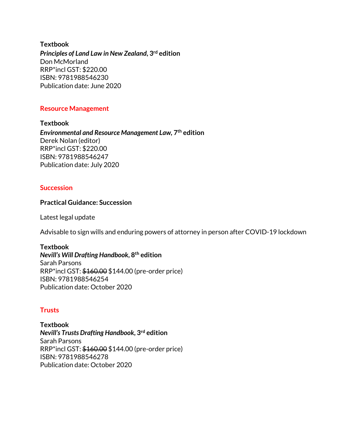**Textbook** *Principles of Land Law in New Zealand***, 3rd edition** Don McMorland RRP\*incl GST: \$220.00 ISBN: 9781988546230 Publication date: June 2020

### **Resource Management**

**Textbook** *Environmental and Resource Management Law,* **7th edition** Derek Nolan (editor) RRP\*incl GST: \$220.00 ISBN: 9781988546247 Publication date: July 2020

### **Succession**

#### **Practical Guidance: Succession**

Latest legal update

Advisable to sign wills and enduring powers of attorney in person after COVID-19 lockdown

#### **Textbook**

*Nevill's Will Drafting Handbook***, 8th edition** Sarah Parsons RRP\*incl GST: \$160.00 \$144.00 (pre-order price) ISBN: 9781988546254 Publication date: October 2020

### **Trusts**

**Textbook** *Nevill's Trusts Drafting Handbook***, 3rd edition** Sarah Parsons RRP\*incl GST: \$160.00 \$144.00 (pre-order price) ISBN: 9781988546278 Publication date: October 2020